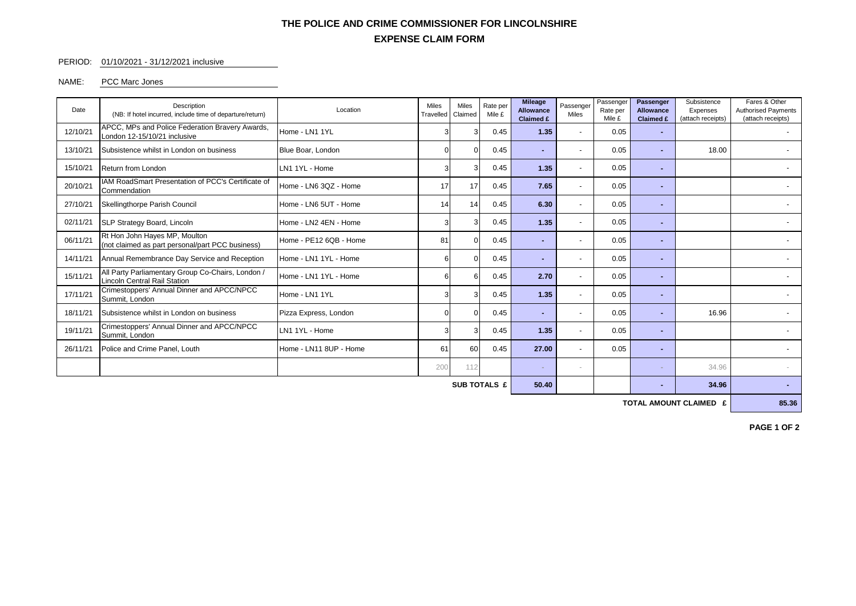### **EXPENSE CLAIM FORM THE POLICE AND CRIME COMMISSIONER FOR LINCOLNSHIRE**

### PERIOD: 01/10/2021 - 31/12/2021 inclusive

#### NAME: PCC Marc Jones

| Date                | Description<br>(NB: If hotel incurred, include time of departure/return)                 | Location               | <b>Miles</b><br>Travelled | <b>Miles</b><br>Claimed | Rate per<br>Mile £ | Mileage<br>Allowance<br><b>Claimed £</b> | Passenger<br><b>Miles</b> | Passenger<br>Rate per<br>Mile £ | Passenger<br><b>Allowance</b><br><b>Claimed £</b> | Subsistence<br>Expenses<br>(attach receipts) | Fares & Other<br><b>Authorised Payments</b><br>(attach receipts) |
|---------------------|------------------------------------------------------------------------------------------|------------------------|---------------------------|-------------------------|--------------------|------------------------------------------|---------------------------|---------------------------------|---------------------------------------------------|----------------------------------------------|------------------------------------------------------------------|
| 12/10/21            | APCC, MPs and Police Federation Bravery Awards,<br>London 12-15/10/21 inclusive          | Home - LN1 1YL         |                           | 3                       | 0.45               | 1.35                                     |                           | 0.05                            |                                                   |                                              |                                                                  |
| 13/10/21            | Subsistence whilst in London on business                                                 | Blue Boar, London      |                           | $\overline{0}$          | 0.45               |                                          | $\overline{\phantom{a}}$  | 0.05                            |                                                   | 18.00                                        |                                                                  |
| 15/10/21            | Return from London                                                                       | LN1 1YL - Home         |                           | 3                       | 0.45               | 1.35                                     | $\overline{a}$            | 0.05                            | ٠                                                 |                                              |                                                                  |
| 20/10/21            | IAM RoadSmart Presentation of PCC's Certificate of<br>Commendation                       | Home - LN6 3QZ - Home  | 17                        | 17                      | 0.45               | 7.65                                     |                           | 0.05                            |                                                   |                                              |                                                                  |
| 27/10/21            | Skellingthorpe Parish Council                                                            | Home - LN6 5UT - Home  | 14                        | 14                      | 0.45               | 6.30                                     | $\overline{\phantom{a}}$  | 0.05                            | ۰.                                                |                                              |                                                                  |
| 02/11/21            | SLP Strategy Board, Lincoln                                                              | Home - LN2 4EN - Home  |                           | 3                       | 0.45               | 1.35                                     | $\overline{\phantom{a}}$  | 0.05                            |                                                   |                                              |                                                                  |
| 06/11/21            | Rt Hon John Hayes MP, Moulton<br>(not claimed as part personal/part PCC business)        | Home - PE12 6QB - Home | 81                        | $\Omega$                | 0.45               |                                          |                           | 0.05                            |                                                   |                                              |                                                                  |
| 14/11/21            | Annual Remembrance Day Service and Reception                                             | Home - LN1 1YL - Home  |                           | $\overline{0}$          | 0.45               |                                          | $\overline{\phantom{a}}$  | 0.05                            |                                                   |                                              |                                                                  |
| 15/11/21            | All Party Parliamentary Group Co-Chairs, London /<br><b>Lincoln Central Rail Station</b> | Home - LN1 1YL - Home  |                           | 6                       | 0.45               | 2.70                                     | $\overline{\phantom{a}}$  | 0.05                            |                                                   |                                              |                                                                  |
| 17/11/21            | Crimestoppers' Annual Dinner and APCC/NPCC<br>Summit, London                             | Home - LN1 1YL         |                           | $\mathbf{3}$            | 0.45               | 1.35                                     | $\overline{\phantom{a}}$  | 0.05                            | ۰.                                                |                                              |                                                                  |
| 18/11/21            | Subsistence whilst in London on business                                                 | Pizza Express, London  |                           | $\Omega$                | 0.45               |                                          |                           | 0.05                            |                                                   | 16.96                                        |                                                                  |
| 19/11/21            | Crimestoppers' Annual Dinner and APCC/NPCC<br>Summit, London                             | LN1 1YL - Home         |                           | 3                       | 0.45               | 1.35                                     |                           | 0.05                            |                                                   |                                              |                                                                  |
| 26/11/21            | Police and Crime Panel, Louth<br>Home - LN11 8UP - Home                                  |                        |                           |                         | 60<br>0.45         | 27.00                                    | $\overline{\phantom{a}}$  | 0.05                            | ۰.                                                |                                              |                                                                  |
|                     |                                                                                          |                        | 200                       | 112                     |                    |                                          | $\overline{a}$            |                                 |                                                   | 34.96                                        |                                                                  |
| <b>SUB TOTALS £</b> |                                                                                          |                        |                           |                         |                    |                                          |                           |                                 |                                                   | 34.96                                        |                                                                  |

**TOTAL AMOUNT CLAIMED £** 85.36

**PAGE 1 OF 2**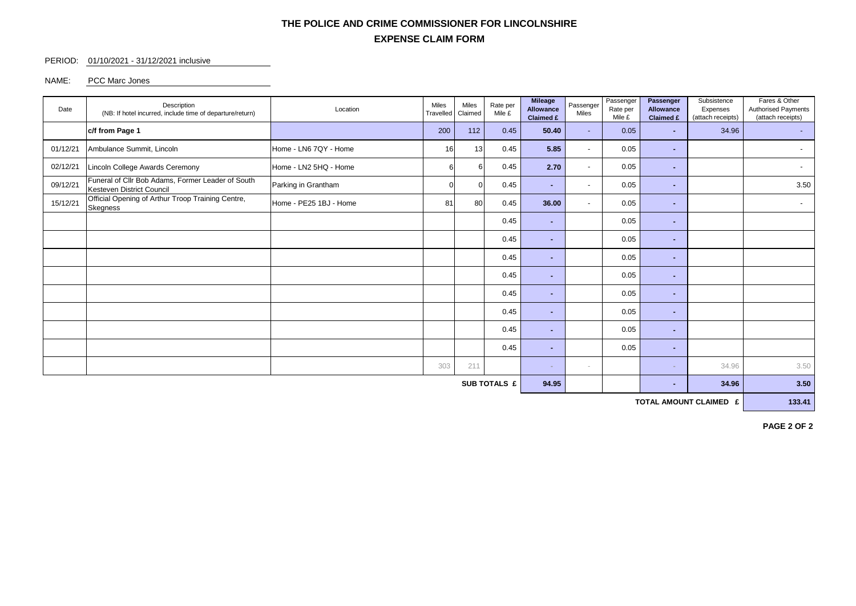### **EXPENSE CLAIM FORM THE POLICE AND CRIME COMMISSIONER FOR LINCOLNSHIRE**

#### PERIOD: 01/10/2021 - 31/12/2021 inclusive

NAME: PCC Marc Jones

| Date                | Description<br>(NB: If hotel incurred, include time of departure/return)       | Location               | Miles<br>Travelled | <b>Miles</b><br>Claimed | Rate per<br>Mile £ | <b>Mileage</b><br><b>Allowance</b><br>Claimed £ | Passenger<br><b>Miles</b> | Passenger<br>Rate per<br>Mile £ | Passenger<br><b>Allowance</b><br>Claimed £ | Subsistence<br>Expenses<br>(attach receipts) | Fares & Other<br><b>Authorised Payments</b><br>(attach receipts) |  |
|---------------------|--------------------------------------------------------------------------------|------------------------|--------------------|-------------------------|--------------------|-------------------------------------------------|---------------------------|---------------------------------|--------------------------------------------|----------------------------------------------|------------------------------------------------------------------|--|
|                     | c/f from Page 1                                                                |                        | 200                | 112                     | 0.45               | 50.40                                           | $\overline{a}$            | 0.05                            | $\sim$                                     | 34.96                                        | $\sim$                                                           |  |
| 01/12/21            | Ambulance Summit, Lincoln                                                      | Home - LN6 7QY - Home  | 16                 | 13                      | 0.45               | 5.85                                            | $\sim$                    | 0.05                            | н.                                         |                                              | $\overline{\phantom{a}}$                                         |  |
| 02/12/21            | Lincoln College Awards Ceremony                                                | Home - LN2 5HQ - Home  |                    | ี                       | 0.45               | 2.70                                            | $\sim$                    | 0.05                            | ۰.                                         |                                              | $\overline{\phantom{a}}$                                         |  |
| 09/12/21            | Funeral of Cllr Bob Adams, Former Leader of South<br>Kesteven District Council | Parking in Grantham    |                    |                         | 0.45               | ж.                                              | $\sim$                    | 0.05                            | $\sim$                                     |                                              | 3.50                                                             |  |
| 15/12/21            | Official Opening of Arthur Troop Training Centre,<br><b>Skegness</b>           | Home - PE25 1BJ - Home | 81                 | 80                      | 0.45               | 36.00                                           | $\overline{\phantom{a}}$  | 0.05                            | ٠                                          |                                              | $\overline{\phantom{a}}$                                         |  |
|                     | 0.45                                                                           |                        |                    |                         |                    | $\sim$                                          |                           | 0.05                            | ×.                                         |                                              |                                                                  |  |
|                     |                                                                                |                        |                    | 0.45                    |                    | ж.                                              |                           | 0.05                            | н.                                         |                                              |                                                                  |  |
|                     |                                                                                |                        |                    |                         |                    | ж.                                              |                           | 0.05                            | $\sim$                                     |                                              |                                                                  |  |
|                     |                                                                                |                        |                    |                         | 0.45               | ж.                                              |                           | 0.05                            | ٠                                          |                                              |                                                                  |  |
|                     |                                                                                |                        |                    |                         | 0.45               | ж.                                              |                           | 0.05                            | ×.                                         |                                              |                                                                  |  |
|                     |                                                                                |                        |                    |                         | 0.45               | ×.                                              |                           | 0.05                            | ж.                                         |                                              |                                                                  |  |
|                     |                                                                                |                        |                    |                         | 0.45               | ۰.                                              |                           | 0.05                            | ٠                                          |                                              |                                                                  |  |
|                     |                                                                                |                        |                    |                         | 0.45               | <b>м.</b>                                       |                           | 0.05                            | $\sim$                                     |                                              |                                                                  |  |
|                     |                                                                                |                        | 303                | 211                     |                    | <b>COL</b>                                      | $\sim$                    |                                 | ×.                                         | 34.96                                        | 3.50                                                             |  |
| <b>SUB TOTALS £</b> |                                                                                |                        |                    |                         |                    |                                                 |                           |                                 | ٠                                          | 34.96                                        | 3.50                                                             |  |

**TOTAL AMOUNT CLAIMED £** 133.41

**PAGE 2 OF 2**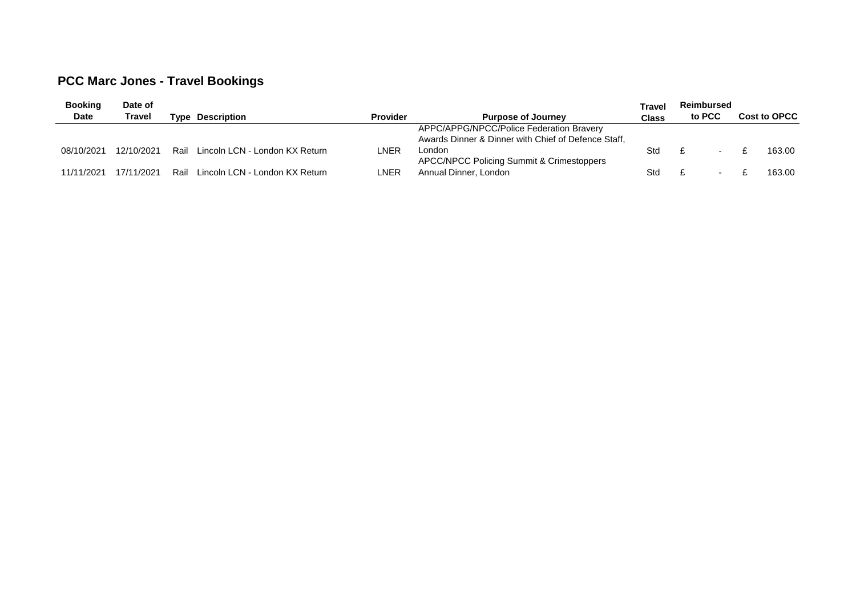# **PCC Marc Jones - Travel Bookings**

| <b>Booking</b> | Date of       |      |                                |                 | Travel                                              | Reimbursed   |        |  |                     |        |
|----------------|---------------|------|--------------------------------|-----------------|-----------------------------------------------------|--------------|--------|--|---------------------|--------|
| <b>Date</b>    | <b>Travel</b> |      | <b>Type Description</b>        | <b>Provider</b> | <b>Purpose of Journey</b>                           | <b>Class</b> | to PCC |  | <b>Cost to OPCC</b> |        |
|                |               |      |                                |                 | APPC/APPG/NPCC/Police Federation Bravery            |              |        |  |                     |        |
|                |               |      |                                |                 | Awards Dinner & Dinner with Chief of Defence Staff, |              |        |  |                     |        |
| 08/10/2021     | 12/10/2021    | Rail | Lincoln LCN - London KX Return | LNER            | London                                              | Std          |        |  |                     | 163.00 |
|                |               |      |                                |                 | APCC/NPCC Policing Summit & Crimestoppers           |              |        |  |                     |        |
| 11/11/2021     | 17/11/2021    | Rail | Lincoln LCN - London KX Return | ∟NER            | Annual Dinner, London                               | Std          |        |  |                     | 163.00 |